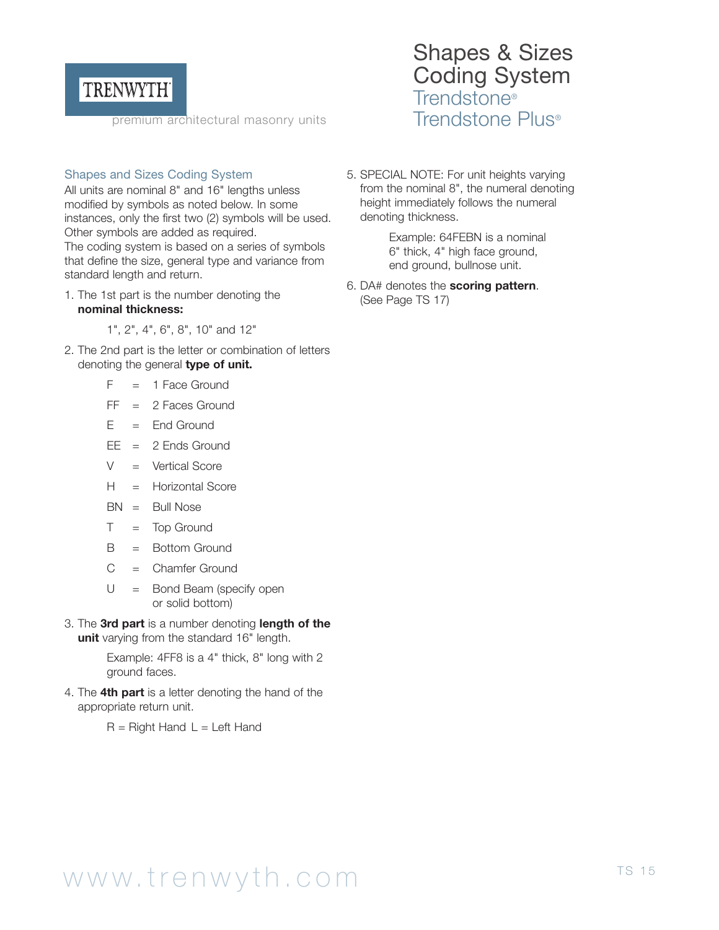

premium architectural masonry units

#### Shapes and Sizes Coding System

All units are nominal 8" and 16" lengths unless modified by symbols as noted below. In some instances, only the first two (2) symbols will be used. Other symbols are added as required. The coding system is based on a series of symbols that define the size, general type and variance from standard length and return.

- 1. The 1st part is the number denoting the **nominal thickness:** 
	- 1", 2", 4", 6", 8", 10" and 12"
- 2. The 2nd part is the letter or combination of letters denoting the general **type of unit.**
	- $F = 1$  Face Ground
	- $FF = 2$  Faces Ground
	- $F =$  Fnd Ground
	- $EE = 2$  Ends Ground
	- $V =$  Vertical Score
	- H = Horizontal Score
	- BN = Bull Nose
	- $T = Top$  Ground
	- B = Bottom Ground
	- $C =$  Chamfer Ground
	- $U =$  Bond Beam (specify open or solid bottom)
- 3. The **3rd part** is a number denoting **length of the unit** varying from the standard 16" length.

Example: 4FF8 is a 4" thick, 8" long with 2 ground faces.

4. The **4th part** is a letter denoting the hand of the appropriate return unit.

 $R =$  Right Hand  $L =$  Left Hand

### Shapes & Sizes Coding System Trendstone® Trendstone Plus®

5. SPECIAL NOTE: For unit heights varying from the nominal 8", the numeral denoting height immediately follows the numeral denoting thickness.

> Example: 64FEBN is a nominal 6" thick, 4" high face ground, end ground, bullnose unit.

6. DA# denotes the **scoring pattern**. (See Page TS 17)

# www.trenwyth.com TS 15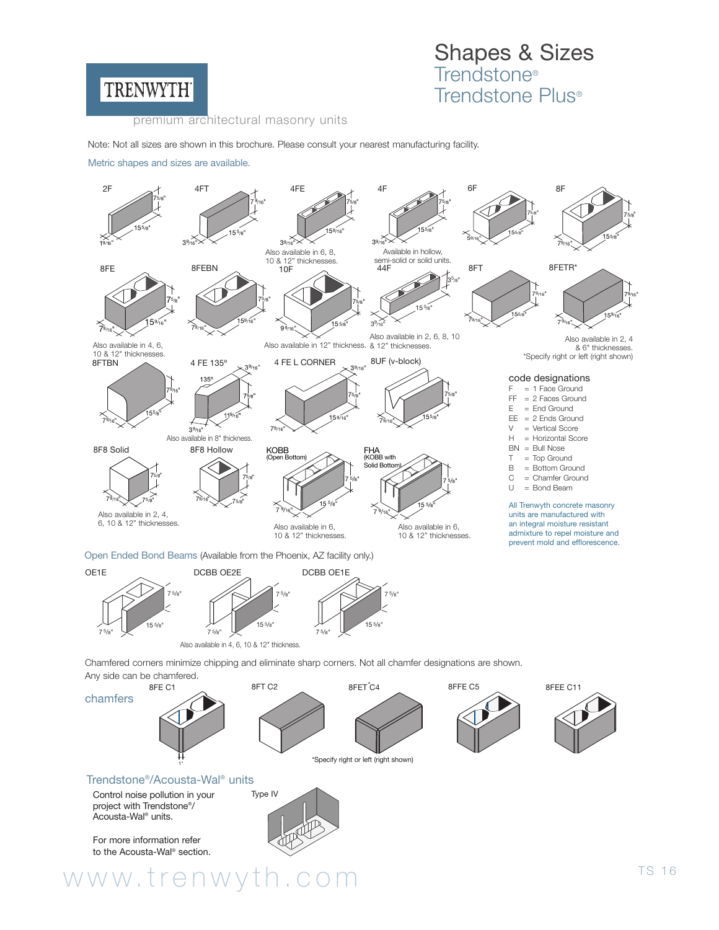

### Shapes & Sizes Trendstone® Trendstone Plus®

premium architectural masonry units

Note: Not all sizes are shown in this brochure. Please consult your nearest manufacturing facility.

Metric shapes and sizes are available.



OE1E  $15^{5/s}$ 7 5/8" 7 5/8" DCBB OE2E .<br>15 5/<sub>8</sub> 7 5/8" 7 5/8" DCBB OE1E  $15.5/a$ 7 5/8" 7 5/8"

Also available in 4, 6, 10 & 12" thickness.

Chamfered corners minimize chipping and eliminate sharp corners. Not all chamfer designations are shown. Any side can be chamfered.



www.trenwyth.com TS 16

#### Trendstone®/Acousta-Wal® units

Control noise pollution in your Type IV project with Trendstone®/ Acousta-Wal® units.

For more information refer to the Acousta-Wal® section.